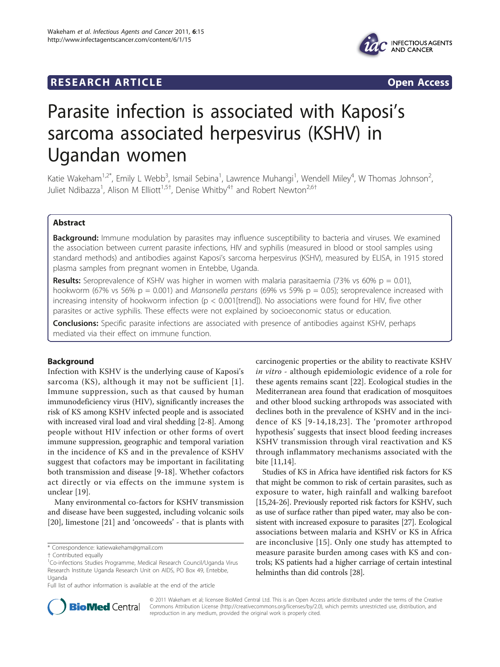# RESEARCH ARTICLE **External of the Contract Contract Contract Contract Contract Contract Contract Contract Contract Contract Contract Contract Contract Contract Contract Contract Contract Contract Contract Contract Contract**



# Parasite infection is associated with Kaposi's sarcoma associated herpesvirus (KSHV) in Ugandan women

Katie Wakeham $^{1,2^*}$ , Emily L Webb $^3$ , Ismail Sebina $^1$ , Lawrence Muhangi $^1$ , Wendell Miley $^4$ , W Thomas Johnson $^2$ , Juliet Ndibazza<sup>1</sup>, Alison M Elliott<sup>1,5†</sup>, Denise Whitby<sup>4†</sup> and Robert Newton<sup>2,6†</sup>

# Abstract

**Background:** Immune modulation by parasites may influence susceptibility to bacteria and viruses. We examined the association between current parasite infections, HIV and syphilis (measured in blood or stool samples using standard methods) and antibodies against Kaposi's sarcoma herpesvirus (KSHV), measured by ELISA, in 1915 stored plasma samples from pregnant women in Entebbe, Uganda.

**Results:** Seroprevalence of KSHV was higher in women with malaria parasitaemia (73% vs 60% p = 0.01), hookworm (67% vs 56% p = 0.001) and Mansonella perstans (69% vs 59% p = 0.05); seroprevalence increased with increasing intensity of hookworm infection (p < 0.001[trend]). No associations were found for HIV, five other parasites or active syphilis. These effects were not explained by socioeconomic status or education.

**Conclusions:** Specific parasite infections are associated with presence of antibodies against KSHV, perhaps mediated via their effect on immune function.

# Background

Infection with KSHV is the underlying cause of Kaposi's sarcoma (KS), although it may not be sufficient [[1\]](#page-5-0). Immune suppression, such as that caused by human immunodeficiency virus (HIV), significantly increases the risk of KS among KSHV infected people and is associated with increased viral load and viral shedding [[2-8](#page-5-0)]. Among people without HIV infection or other forms of overt immune suppression, geographic and temporal variation in the incidence of KS and in the prevalence of KSHV suggest that cofactors may be important in facilitating both transmission and disease [[9-18](#page-5-0)]. Whether cofactors act directly or via effects on the immune system is unclear [[19](#page-5-0)].

Many environmental co-factors for KSHV transmission and disease have been suggested, including volcanic soils [[20\]](#page-5-0), limestone [\[21](#page-5-0)] and 'oncoweeds' - that is plants with carcinogenic properties or the ability to reactivate KSHV in vitro - although epidemiologic evidence of a role for these agents remains scant [[22\]](#page-5-0). Ecological studies in the Mediterranean area found that eradication of mosquitoes and other blood sucking arthropods was associated with declines both in the prevalence of KSHV and in the incidence of KS [[9-14](#page-5-0),[18,23](#page-5-0)]. The 'promoter arthropod hypothesis' suggests that insect blood feeding increases KSHV transmission through viral reactivation and KS through inflammatory mechanisms associated with the bite [[11,14](#page-5-0)].

Studies of KS in Africa have identified risk factors for KS that might be common to risk of certain parasites, such as exposure to water, high rainfall and walking barefoot [[15,24-26\]](#page-5-0). Previously reported risk factors for KSHV, such as use of surface rather than piped water, may also be consistent with increased exposure to parasites [\[27\]](#page-5-0). Ecological associations between malaria and KSHV or KS in Africa are inconclusive [[15\]](#page-5-0). Only one study has attempted to measure parasite burden among cases with KS and controls; KS patients had a higher carriage of certain intestinal helminths than did controls [[28](#page-5-0)].



© 2011 Wakeham et al; licensee BioMed Central Ltd. This is an Open Access article distributed under the terms of the Creative Commons Attribution License [\(http://creativecommons.org/licenses/by/2.0](http://creativecommons.org/licenses/by/2.0)), which permits unrestricted use, distribution, and reproduction in any medium, provided the original work is properly cited.

<sup>\*</sup> Correspondence: [katiewakeham@gmail.com](mailto:katiewakeham@gmail.com)

<sup>†</sup> Contributed equally <sup>1</sup>

<sup>&</sup>lt;sup>1</sup>Co-infections Studies Programme, Medical Research Council/Uganda Virus Research Institute Uganda Research Unit on AIDS, PO Box 49, Entebbe, Uganda

Full list of author information is available at the end of the article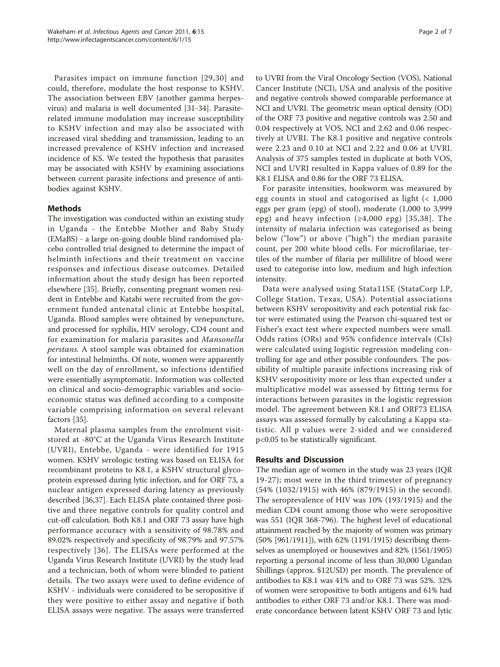Parasites impact on immune function [[29,30](#page-5-0)] and could, therefore, modulate the host response to KSHV. The association between EBV (another gamma herpesvirus) and malaria is well documented [[31-34](#page-5-0)]. Parasiterelated immune modulation may increase susceptibility to KSHV infection and may also be associated with increased viral shedding and transmission, leading to an increased prevalence of KSHV infection and increased incidence of KS. We tested the hypothesis that parasites may be associated with KSHV by examining associations between current parasite infections and presence of antibodies against KSHV.

# Methods

The investigation was conducted within an existing study in Uganda - the Entebbe Mother and Baby Study (EMaBS) - a large on-going double blind randomised placebo controlled trial designed to determine the impact of helminth infections and their treatment on vaccine responses and infectious disease outcomes. Detailed information about the study design has been reported elsewhere [[35\]](#page-5-0). Briefly, consenting pregnant women resident in Entebbe and Katabi were recruited from the government funded antenatal clinic at Entebbe hospital, Uganda. Blood samples were obtained by venepuncture, and processed for syphilis, HIV serology, CD4 count and for examination for malaria parasites and Mansonella perstans. A stool sample was obtained for examination for intestinal helminths. Of note, women were apparently well on the day of enrollment, so infections identified were essentially asymptomatic. Information was collected on clinical and socio-demographic variables and socioeconomic status was defined according to a composite variable comprising information on several relevant factors [[35\]](#page-5-0).

Maternal plasma samples from the enrolment visitstored at -80°C at the Uganda Virus Research Institute (UVRI), Entebbe, Uganda - were identified for 1915 women. KSHV serologic testing was based on ELISA for recombinant proteins to K8.1, a KSHV structural glycoprotein expressed during lytic infection, and for ORF 73, a nuclear antigen expressed during latency as previously described [\[36,37\]](#page-6-0). Each ELISA plate contained three positive and three negative controls for quality control and cut-off calculation. Both K8.1 and ORF 73 assay have high performance accuracy with a sensitivity of 98.78% and 89.02% respectively and specificity of 98.79% and 97.57% respectively [\[36](#page-6-0)]. The ELISAs were performed at the Uganda Virus Research Institute (UVRI) by the study lead and a technician, both of whom were blinded to patient details. The two assays were used to define evidence of KSHV - individuals were considered to be seropositive if they were positive to either assay and negative if both ELISA assays were negative. The assays were transferred

to UVRI from the Viral Oncology Section (VOS), National Cancer Institute (NCI), USA and analysis of the positive and negative controls showed comparable performance at NCI and UVRI. The geometric mean optical density (OD) of the ORF 73 positive and negative controls was 2.50 and 0.04 respectively at VOS, NCI and 2.62 and 0.06 respectively at UVRI. The K8.1 positive and negative controls were 2.23 and 0.10 at NCI and 2.22 and 0.06 at UVRI. Analysis of 375 samples tested in duplicate at both VOS, NCI and UVRI resulted in Kappa values of 0.89 for the K8.1 ELISA and 0.86 for the ORF 73 ELISA.

For parasite intensities, hookworm was measured by egg counts in stool and catogorised as light (< 1,000 eggs per gram (epg) of stool), moderate (1,000 to 3,999 epg) and heavy infection  $(≥4,000$  epg) [[35,](#page-5-0)[38](#page-6-0)]. The intensity of malaria infection was categorised as being below ("low") or above ("high") the median parasite count, per 200 white blood cells. For microfilariae, tertiles of the number of filaria per millilitre of blood were used to categorise into low, medium and high infection intensity.

Data were analysed using Stata11SE (StataCorp LP, College Station, Texas, USA). Potential associations between KSHV seropositivity and each potential risk factor were estimated using the Pearson chi-squared test or Fisher's exact test where expected numbers were small. Odds ratios (ORs) and 95% confidence intervals (CIs) were calculated using logistic regression modeling controlling for age and other possible confounders. The possibility of multiple parasite infections increasing risk of KSHV seropositivity more or less than expected under a multiplicative model was assessed by fitting terms for interactions between parasites in the logistic regression model. The agreement between K8.1 and ORF73 ELISA assays was assessed formally by calculating a Kappa statistic. All p values were 2-sided and we considered p<0.05 to be statistically significant.

# Results and Discussion

The median age of women in the study was 23 years (IQR 19-27); most were in the third trimester of pregnancy (54% (1032/1915) with 46% (879/1915) in the second). The seroprevalence of HIV was 10% (193/1915) and the median CD4 count among those who were seropositive was 551 (IQR 368-796). The highest level of educational attainment reached by the majority of women was primary (50% [961/1911]), with 62% (1191/1915) describing themselves as unemployed or housewives and 82% (1561/1905) reporting a personal income of less than 30,000 Ugandan Shillings (approx. \$12USD) per month. The prevalence of antibodies to K8.1 was 41% and to ORF 73 was 52%. 32% of women were seropositive to both antigens and 61% had antibodies to either ORF 73 and/or K8.1. There was moderate concordance between latent KSHV ORF 73 and lytic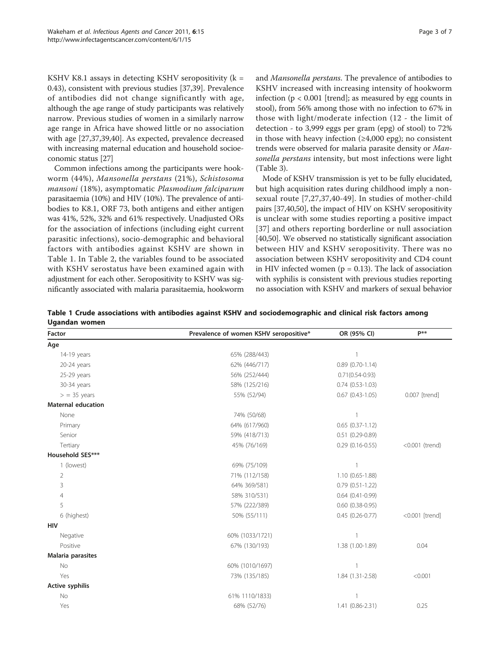KSHV K8.1 assays in detecting KSHV seropositivity ( $k =$ 0.43), consistent with previous studies [\[37,39\]](#page-6-0). Prevalence of antibodies did not change significantly with age, although the age range of study participants was relatively narrow. Previous studies of women in a similarly narrow age range in Africa have showed little or no association with age [[27,](#page-5-0)[37](#page-6-0),[39](#page-6-0),[40](#page-6-0)]. As expected, prevalence decreased with increasing maternal education and household socioeconomic status [\[27\]](#page-5-0)

Common infections among the participants were hookworm (44%), Mansonella perstans (21%), Schistosoma mansoni (18%), asymptomatic Plasmodium falciparum parasitaemia (10%) and HIV (10%). The prevalence of antibodies to K8.1, ORF 73, both antigens and either antigen was 41%, 52%, 32% and 61% respectively. Unadjusted ORs for the association of infections (including eight current parasitic infections), socio-demographic and behavioral factors with antibodies against KSHV are shown in Table 1. In Table [2,](#page-4-0) the variables found to be associated with KSHV serostatus have been examined again with adjustment for each other. Seropositivity to KSHV was significantly associated with malaria parasitaemia, hookworm and Mansonella perstans. The prevalence of antibodies to KSHV increased with increasing intensity of hookworm infection (p < 0.001 [trend]; as measured by egg counts in stool), from 56% among those with no infection to 67% in those with light/moderate infection (12 - the limit of detection - to 3,999 eggs per gram (epg) of stool) to 72% in those with heavy infection  $(\geq 4,000 \text{ erg})$ ; no consistent trends were observed for malaria parasite density or Mansonella perstans intensity, but most infections were light (Table [3\)](#page-4-0).

Mode of KSHV transmission is yet to be fully elucidated, but high acquisition rates during childhood imply a nonsexual route [[7,27](#page-5-0),[37,40](#page-6-0)-[49](#page-6-0)]. In studies of mother-child pairs [\[37,40,50](#page-6-0)], the impact of HIV on KSHV seropositivity is unclear with some studies reporting a positive impact [[37](#page-6-0)] and others reporting borderline or null association [[40,50](#page-6-0)]. We observed no statistically significant association between HIV and KSHV seropositivity. There was no association between KSHV seropositivity and CD4 count in HIV infected women ( $p = 0.13$ ). The lack of association with syphilis is consistent with previous studies reporting no association with KSHV and markers of sexual behavior

Table 1 Crude associations with antibodies against KSHV and sociodemographic and clinical risk factors among Ugandan women

| Factor                    | Prevalence of women KSHV seropositive* | OR (95% CI)            | p**            |
|---------------------------|----------------------------------------|------------------------|----------------|
| Age                       |                                        |                        |                |
| 14-19 years               | 65% (288/443)                          |                        |                |
| 20-24 years               | 62% (446/717)                          | $0.89(0.70-1.14)$      |                |
| 25-29 years               | 56% (252/444)                          | $0.71(0.54 - 0.93)$    |                |
| 30-34 years               | 58% (125/216)                          | $0.74(0.53-1.03)$      |                |
| $>$ = 35 years            | 55% (52/94)                            | $0.67$ $(0.43-1.05)$   | 0.007 [trend]  |
| <b>Maternal education</b> |                                        |                        |                |
| None                      | 74% (50/68)                            |                        |                |
| Primary                   | 64% (617/960)                          | $0.65(0.37-1.12)$      |                |
| Senior                    | 59% (418/713)                          | $0.51(0.29-0.89)$      |                |
| Tertiary                  | 45% (76/169)                           | $0.29(0.16-0.55)$      | <0.001 (trend) |
| Household SES***          |                                        |                        |                |
| 1 (lowest)                | 69% (75/109)                           |                        |                |
| 2                         | 71% (112/158)                          | 1.10 (0.65-1.88)       |                |
| 3                         | 64% 369/581)                           | $0.79(0.51-1.22)$      |                |
| 4                         | 58% 310/531)                           | $0.64$ $(0.41 - 0.99)$ |                |
| 5                         | 57% (222/389)                          | $0.60$ $(0.38 - 0.95)$ |                |
| 6 (highest)               | 50% (55/111)                           | $0.45(0.26-0.77)$      | <0.001 [trend] |
| <b>HIV</b>                |                                        |                        |                |
| Negative                  | 60% (1033/1721)                        |                        |                |
| Positive                  | 67% (130/193)                          | 1.38 (1.00-1.89)       | 0.04           |
| Malaria parasites         |                                        |                        |                |
| No                        | 60% (1010/1697)                        |                        |                |
| Yes                       | 73% (135/185)                          | 1.84 (1.31-2.58)       | < 0.001        |
| <b>Active syphilis</b>    |                                        |                        |                |
| No                        | 61% 1110/1833)                         |                        |                |
| Yes                       | 68% (52/76)                            | 1.41 (0.86-2.31)       | 0.25           |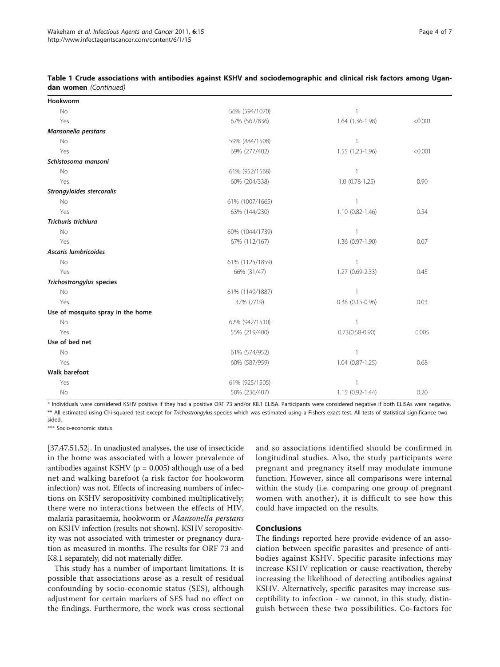### Table 1 Crude associations with antibodies against KSHV and sociodemographic and clinical risk factors among Ugandan women (Continued)

| Hookworm                          |                 |                        |         |
|-----------------------------------|-----------------|------------------------|---------|
| No                                | 56% (594/1070)  | $\mathbf{1}$           |         |
| Yes                               | 67% (562/836)   | 1.64 (1.36-1.98)       | < 0.001 |
| Mansonella perstans               |                 |                        |         |
| No                                | 59% (884/1508)  | $\mathbf{1}$           |         |
| Yes                               | 69% (277/402)   | 1.55 (1.23-1.96)       | < 0.001 |
| Schistosoma mansoni               |                 |                        |         |
| <b>No</b>                         | 61% (952/1568)  | $\mathbf{1}$           |         |
| Yes                               | 60% (204/338)   | $1.0(0.78-1.25)$       | 0.90    |
| Strongyloides stercoralis         |                 |                        |         |
| No                                | 61% (1007/1665) | $\mathbf{1}$           |         |
| Yes                               | 63% (144/230)   | $1.10(0.82 - 1.46)$    | 0.54    |
| Trichuris trichiura               |                 |                        |         |
| No                                | 60% (1044/1739) | $\mathbf{1}$           |         |
| Yes                               | 67% (112/167)   | 1.36 (0.97-1.90)       | 0.07    |
| Ascaris lumbricoides              |                 |                        |         |
| <b>No</b>                         | 61% (1125/1859) | $\mathbf{1}$           |         |
| Yes                               | 66% (31/47)     | 1.27 (0.69-2.33)       | 0.45    |
| <b>Trichostrongylus species</b>   |                 |                        |         |
| No                                | 61% (1149/1887) | $\mathbf{1}$           |         |
| Yes                               | 37% (7/19)      | $0.38$ $(0.15 - 0.96)$ | 0.03    |
| Use of mosquito spray in the home |                 |                        |         |
| No                                | 62% (942/1510)  | $\mathbf{1}$           |         |
| Yes                               | 55% (219/400)   | $0.73(0.58 - 0.90)$    | 0.005   |
| Use of bed net                    |                 |                        |         |
| No                                | 61% (574/952)   | 1                      |         |
| Yes                               | 60% (587/959)   | $1.04(0.87-1.25)$      | 0.68    |
| <b>Walk barefoot</b>              |                 |                        |         |
| Yes                               | 61% (925/1505)  | $\mathbf{1}$           |         |
| No                                | 58% (236/407)   | 1.15 (0.92-1.44)       | 0.20    |
|                                   |                 |                        |         |

\* Individuals were considered KSHV positive if they had a positive ORF 73 and/or K8.1 ELISA. Participants were considered negative if both ELISAs were negative. \*\* All estimated using Chi-squared test except for Trichostrongylus species which was estimated using a Fishers exact test. All tests of statistical significance two sided.

\*\*\* Socio-economic status

[[37,47,51,52](#page-6-0)]. In unadjusted analyses, the use of insecticide in the home was associated with a lower prevalence of antibodies against KSHV (p = 0.005) although use of a bed net and walking barefoot (a risk factor for hookworm infection) was not. Effects of increasing numbers of infections on KSHV seropositivity combined multiplicatively; there were no interactions between the effects of HIV, malaria parasitaemia, hookworm or Mansonella perstans on KSHV infection (results not shown). KSHV seropositivity was not associated with trimester or pregnancy duration as measured in months. The results for ORF 73 and K8.1 separately, did not materially differ.

This study has a number of important limitations. It is possible that associations arose as a result of residual confounding by socio-economic status (SES), although adjustment for certain markers of SES had no effect on the findings. Furthermore, the work was cross sectional and so associations identified should be confirmed in longitudinal studies. Also, the study participants were pregnant and pregnancy itself may modulate immune function. However, since all comparisons were internal within the study (i.e. comparing one group of pregnant women with another), it is difficult to see how this could have impacted on the results.

# Conclusions

The findings reported here provide evidence of an association between specific parasites and presence of antibodies against KSHV. Specific parasite infections may increase KSHV replication or cause reactivation, thereby increasing the likelihood of detecting antibodies against KSHV. Alternatively, specific parasites may increase susceptibility to infection - we cannot, in this study, distinguish between these two possibilities. Co-factors for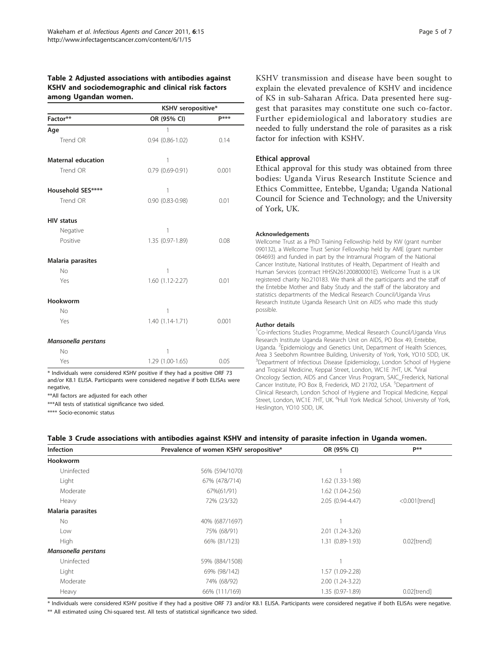# <span id="page-4-0"></span>Table 2 Adjusted associations with antibodies against KSHV and sociodemographic and clinical risk factors among Ugandan women.

|                           | KSHV seropositive*     |              |  |
|---------------------------|------------------------|--------------|--|
| Factor**                  | OR (95% CI)            | <b>p</b> *** |  |
| Age                       | 1                      |              |  |
| Trend OR                  | $0.94$ $(0.86 - 1.02)$ | 0.14         |  |
| <b>Maternal education</b> | 1                      |              |  |
| Trend OR                  | $0.79$ $(0.69 - 0.91)$ | 0.001        |  |
| Household SES****         | 1                      |              |  |
| Trend OR                  | $0.90(0.83 - 0.98)$    | 0.01         |  |
| <b>HIV status</b>         |                        |              |  |
| Negative                  | 1                      |              |  |
| Positive                  | 1.35 (0.97-1.89)       | 0.08         |  |
| Malaria parasites         |                        |              |  |
| No                        | 1                      |              |  |
| Yes                       | 1.60 (1.12-2.27)       | 0.01         |  |
| Hookworm                  |                        |              |  |
| No                        | 1                      |              |  |
| Yes                       | 1.40 (1.14-1.71)       | 0.001        |  |
| Mansonella perstans       |                        |              |  |
| No                        | 1                      |              |  |
| Yes                       | 1.29 (1.00-1.65)       | 0.05         |  |

\* Individuals were considered KSHV positive if they had a positive ORF 73 and/or K8.1 ELISA. Participants were considered negative if both ELISAs were negative,

\*\*All factors are adjusted for each other

\*\*\*All tests of statistical significance two sided.

\*\*\*\* Socio-economic status

KSHV transmission and disease have been sought to explain the elevated prevalence of KSHV and incidence of KS in sub-Saharan Africa. Data presented here suggest that parasites may constitute one such co-factor. Further epidemiological and laboratory studies are needed to fully understand the role of parasites as a risk factor for infection with KSHV.

# Ethical approval

Ethical approval for this study was obtained from three bodies: Uganda Virus Research Institute Science and Ethics Committee, Entebbe, Uganda; Uganda National Council for Science and Technology; and the University of York, UK.

#### Acknowledgements

Wellcome Trust as a PhD Training Fellowship held by KW (grant number 090132), a Wellcome Trust Senior Fellowship held by AME (grant number 064693) and funded in part by the Intramural Program of the National Cancer Institute, National Institutes of Health, Department of Health and Human Services (contract HHSN261200800001E). Wellcome Trust is a UK registered charity No.210183. We thank all the participants and the staff of the Entebbe Mother and Baby Study and the staff of the laboratory and statistics departments of the Medical Research Council/Uganda Virus Research Institute Uganda Research Unit on AIDS who made this study possible.

#### Author details

<sup>1</sup>Co-infections Studies Programme, Medical Research Council/Uganda Virus Research Institute Uganda Research Unit on AIDS, PO Box 49, Entebbe, Uganda. <sup>2</sup>Epidemiology and Genetics Unit, Department of Health Sciences, Area 3 Seebohm Rowntree Building, University of York, York, YO10 5DD, UK. <sup>3</sup>Department of Infectious Disease Epidemiology, London School of Hygiene and Tropical Medicine, Keppal Street, London, WC1E 7HT, UK. <sup>4</sup>Viral Oncology Section, AIDS and Cancer Virus Program, SAIC\_Frederick, National Cancer Institute, PO Box B, Frederick, MD 21702, USA. <sup>5</sup>Department of Clinical Research, London School of Hygiene and Tropical Medicine, Keppal Street, London, WC1E 7HT, UK. <sup>6</sup>Hull York Medical School, University of York Heslington, YO10 5DD, UK.

#### Table 3 Crude associations with antibodies against KSHV and intensity of parasite infection in Uganda women.

| <b>Infection</b>    | Prevalence of women KSHV seropositive* | OR (95% CI)      | p**                     |
|---------------------|----------------------------------------|------------------|-------------------------|
| <b>Hookworm</b>     |                                        |                  |                         |
| Uninfected          | 56% (594/1070)                         |                  |                         |
| Light               | 67% (478/714)                          | 1.62 (1.33-1.98) |                         |
| Moderate            | 67%(61/91)                             | 1.62 (1.04-2.56) |                         |
| Heavy               | 72% (23/32)                            | 2.05 (0.94-4.47) | $<$ 0.001 [trend]       |
| Malaria parasites   |                                        |                  |                         |
| <b>No</b>           | 40% (687/1697)                         |                  |                         |
| Low                 | 75% (68/91)                            | 2.01 (1.24-3.26) |                         |
| High                | 66% (81/123)                           | 1.31 (0.89-1.93) | $0.02$ [trend]          |
| Mansonella perstans |                                        |                  |                         |
| Uninfected          | 59% (884/1508)                         |                  |                         |
| Light               | 69% (98/142)                           | 1.57 (1.09-2.28) |                         |
| Moderate            | 74% (68/92)                            | 2.00 (1.24-3.22) |                         |
| Heavy               | 66% (111/169)                          | 1.35 (0.97-1.89) | 0.02 <sub>[trend]</sub> |

\* Individuals were considered KSHV positive if they had a positive ORF 73 and/or K8.1 ELISA. Participants were considered negative if both ELISAs were negative.

\*\* All estimated using Chi-squared test. All tests of statistical significance two sided.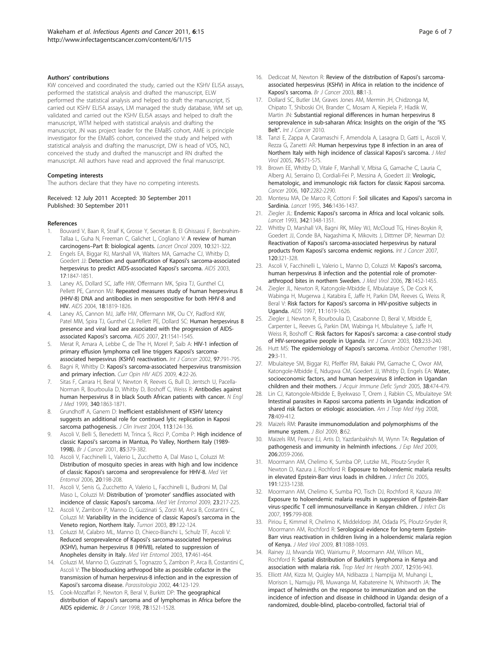#### <span id="page-5-0"></span>Authors' contributions

KW conceived and coordinated the study, carried out the KSHV ELISA assays, performed the statistical analysis and drafted the manuscript, ELW performed the statistical analysis and helped to draft the manuscript, IS carried out KSHV ELISA assays, LM managed the study database, WM set up, validated and carried out the KSHV ELISA assays and helped to draft the manuscript, WTM helped with statistical analysis and drafting the manuscript, JN was project leader for the EMaBS cohort, AME is principle investigator for the EMaBS cohort, conceived the study and helped with statistical analysis and drafting the manuscript, DW is head of VOS, NCI, conceived the study and drafted the manuscript and RN drafted the manuscript. All authors have read and approved the final manuscript.

#### Competing interests

The authors declare that they have no competing interests.

#### Received: 12 July 2011 Accepted: 30 September 2011 Published: 30 September 2011

#### References

- Bouvard V, Baan R, Straif K, Grosse Y, Secretan B, El Ghissassi F, Benbrahim-Tallaa L, Guha N, Freeman C, Galichet L, Cogliano V: [A review of human](http://www.ncbi.nlm.nih.gov/pubmed/19350698?dopt=Abstract) carcinogens–[Part B: biological agents.](http://www.ncbi.nlm.nih.gov/pubmed/19350698?dopt=Abstract) Lancet Oncol 2009, 10:321-322.
- 2. Engels EA, Biggar RJ, Marshall VA, Walters MA, Gamache CJ, Whitby D, Goedert JJ: [Detection and quantification of Kaposi](http://www.ncbi.nlm.nih.gov/pubmed/12891072?dopt=Abstract)'s sarcoma-associated [herpesvirus to predict AIDS-associated Kaposi](http://www.ncbi.nlm.nih.gov/pubmed/12891072?dopt=Abstract)'s sarcoma. AIDS 2003, 17:1847-1851.
- Laney AS, Dollard SC, Jaffe HW, Offermann MK, Spira TJ, Gunthel CJ, Pellett PE, Cannon MJ: [Repeated measures study of human herpesvirus 8](http://www.ncbi.nlm.nih.gov/pubmed/15316343?dopt=Abstract) [\(HHV-8\) DNA and antibodies in men seropositive for both HHV-8 and](http://www.ncbi.nlm.nih.gov/pubmed/15316343?dopt=Abstract) [HIV.](http://www.ncbi.nlm.nih.gov/pubmed/15316343?dopt=Abstract) AIDS 2004, 18:1819-1826.
- 4. Laney AS, Cannon MJ, Jaffe HW, Offermann MK, Ou CY, Radford KW, Patel MM, Spira TJ, Gunthel CJ, Pellett PE, Dollard SC: [Human herpesvirus 8](http://www.ncbi.nlm.nih.gov/pubmed/17630548?dopt=Abstract) [presence and viral load are associated with the progression of AIDS](http://www.ncbi.nlm.nih.gov/pubmed/17630548?dopt=Abstract)[associated Kaposi](http://www.ncbi.nlm.nih.gov/pubmed/17630548?dopt=Abstract)'s sarcoma. AIDS 2007, 21:1541-1545.
- Merat R, Amara A, Lebbe C, de The H, Morel P, Saib A: [HIV-1 infection of](http://www.ncbi.nlm.nih.gov/pubmed/11857356?dopt=Abstract) [primary effusion lymphoma cell line triggers Kaposi](http://www.ncbi.nlm.nih.gov/pubmed/11857356?dopt=Abstract)'s sarcoma[associated herpesvirus \(KSHV\) reactivation.](http://www.ncbi.nlm.nih.gov/pubmed/11857356?dopt=Abstract) Int J Cancer 2002, 97:791-795.
- 6. Bagni R, Whitby D: Kaposi'[s sarcoma-associated herpesvirus transmission](http://www.ncbi.nlm.nih.gov/pubmed/19339936?dopt=Abstract) [and primary infection.](http://www.ncbi.nlm.nih.gov/pubmed/19339936?dopt=Abstract) Curr Opin HIV AIDS 2009, 4:22-26.
- 7. Sitas F, Carrara H, Beral V, Newton R, Reeves G, Bull D, Jentsch U, Pacella-Norman R, Bourboulia D, Whitby D, Boshoff C, Weiss R: [Antibodies against](http://www.ncbi.nlm.nih.gov/pubmed/10369849?dopt=Abstract) [human herpesvirus 8 in black South African patients with cancer.](http://www.ncbi.nlm.nih.gov/pubmed/10369849?dopt=Abstract) N Engl J Med 1999, 340:1863-1871.
- 8. Grundhoff A, Ganem D: [Inefficient establishment of KSHV latency](http://www.ncbi.nlm.nih.gov/pubmed/14702116?dopt=Abstract) [suggests an additional role for continued lytic replication in Kaposi](http://www.ncbi.nlm.nih.gov/pubmed/14702116?dopt=Abstract) [sarcoma pathogenesis.](http://www.ncbi.nlm.nih.gov/pubmed/14702116?dopt=Abstract) J Clin Invest 2004, 113:124-136.
- Ascoli V, Belli S, Benedetti M, Trinca S, Ricci P, Comba P: [High incidence of](http://www.ncbi.nlm.nih.gov/pubmed/11487269?dopt=Abstract) classic Kaposi'[s sarcoma in Mantua, Po Valley, Northern Italy \(1989-](http://www.ncbi.nlm.nih.gov/pubmed/11487269?dopt=Abstract) [1998\).](http://www.ncbi.nlm.nih.gov/pubmed/11487269?dopt=Abstract) Br J Cancer 2001, 85:379-382.
- 10. Ascoli V, Facchinelli L, Valerio L, Zucchetto A, Dal Maso L, Coluzzi M: [Distribution of mosquito species in areas with high and low incidence](http://www.ncbi.nlm.nih.gov/pubmed/16871701?dopt=Abstract) of classic Kaposi'[s sarcoma and seroprevalence for HHV-8.](http://www.ncbi.nlm.nih.gov/pubmed/16871701?dopt=Abstract) Med Vet Entomol 2006, 20:198-208.
- 11. Ascoli V, Senis G, Zucchetto A, Valerio L, Facchinelli L, Budroni M, Dal Maso L, Coluzzi M: Distribution of 'promoter' [sandflies associated with](http://www.ncbi.nlm.nih.gov/pubmed/19712152?dopt=Abstract) [incidence of classic Kaposi](http://www.ncbi.nlm.nih.gov/pubmed/19712152?dopt=Abstract)'s sarcoma. Med Vet Entomol 2009, 23:217-225.
- 12. Ascoli V, Zambon P, Manno D, Guzzinati S, Zorzi M, Arca B, Costantini C, Coluzzi M: [Variability in the incidence of classic Kaposi](http://www.ncbi.nlm.nih.gov/pubmed/12841656?dopt=Abstract)'s sarcoma in the [Veneto region, Northern Italy.](http://www.ncbi.nlm.nih.gov/pubmed/12841656?dopt=Abstract) Tumori 2003, 89:122-124.
- 13. Coluzzi M, Calabro ML, Manno D, Chieco-Bianchi L, Schulz TF, Ascoli V: [Reduced seroprevalence of Kaposi](http://www.ncbi.nlm.nih.gov/pubmed/14651663?dopt=Abstract)'s sarcoma-associated herpesvirus [\(KSHV\), human herpesvirus 8 \(HHV8\), related to suppression of](http://www.ncbi.nlm.nih.gov/pubmed/14651663?dopt=Abstract) [Anopheles density in Italy.](http://www.ncbi.nlm.nih.gov/pubmed/14651663?dopt=Abstract) Med Vet Entomol 2003, 17:461-464.
- 14. Coluzzi M, Manno D, Guzzinati S, Tognazzo S, Zambon P, Arca B, Costantini C, Ascoli V: [The bloodsucking arthropod bite as possible cofactor in the](http://www.ncbi.nlm.nih.gov/pubmed/12404820?dopt=Abstract) [transmission of human herpesvirus-8 infection and in the expression of](http://www.ncbi.nlm.nih.gov/pubmed/12404820?dopt=Abstract) Kaposi'[s sarcoma disease.](http://www.ncbi.nlm.nih.gov/pubmed/12404820?dopt=Abstract) Parassitologia 2002, 44:123-129.
- 15. Cook-Mozaffari P, Newton R, Beral V, Burkitt DP: [The geographical](http://www.ncbi.nlm.nih.gov/pubmed/9836488?dopt=Abstract) distribution of Kaposi'[s sarcoma and of lymphomas in Africa before the](http://www.ncbi.nlm.nih.gov/pubmed/9836488?dopt=Abstract) [AIDS epidemic.](http://www.ncbi.nlm.nih.gov/pubmed/9836488?dopt=Abstract) Br J Cancer 1998, 78:1521-1528.
- 16. Dedicoat M, Newton R: [Review of the distribution of Kaposi](http://www.ncbi.nlm.nih.gov/pubmed/12556950?dopt=Abstract)'s sarcoma[associated herpesvirus \(KSHV\) in Africa in relation to the incidence of](http://www.ncbi.nlm.nih.gov/pubmed/12556950?dopt=Abstract) Kaposi'[s sarcoma.](http://www.ncbi.nlm.nih.gov/pubmed/12556950?dopt=Abstract) Br J Cancer 2003, 88:1-3.
- 17. Dollard SC, Butler LM, Graves Jones AM, Mermin JH, Chidzonga M, Chipato T, Shiboski CH, Brander C, Mosam A, Kiepiela P, Hladik W, Martin JN: Substantial regional differences in human herpesvirus 8 seroprevalence in sub-saharan Africa: Insights on the origin of the "KS Belt". Int J Cancer 2010.
- 18. Tanzi E, Zappa A, Caramaschi F, Amendola A, Lasagna D, Gatti L, Ascoli V, Rezza G, Zanetti AR: [Human herpesvirus type 8 infection in an area of](http://www.ncbi.nlm.nih.gov/pubmed/15977229?dopt=Abstract) [Northern Italy with high incidence of classical Kaposi](http://www.ncbi.nlm.nih.gov/pubmed/15977229?dopt=Abstract)'s sarcoma. J Med Virol 2005, 76:571-575.
- 19. Brown EE, Whitby D, Vitale F, Marshall V, Mbisa G, Gamache C, Lauria C, Alberg AJ, Serraino D, Cordiali-Fei P, Messina A, Goedert JJ: [Virologic,](http://www.ncbi.nlm.nih.gov/pubmed/16998933?dopt=Abstract) [hematologic, and immunologic risk factors for classic Kaposi sarcoma.](http://www.ncbi.nlm.nih.gov/pubmed/16998933?dopt=Abstract) Cancer 2006, 107:2282-2290.
- 20. Montesu MA, De Marco R, Cottoni F: [Soil silicates and Kaposi](http://www.ncbi.nlm.nih.gov/pubmed/7475859?dopt=Abstract)'s sarcoma in [Sardinia.](http://www.ncbi.nlm.nih.gov/pubmed/7475859?dopt=Abstract) Lancet 1995, 346:1436-1437.
- 21. Ziegler JL: Endemic Kaposi'[s sarcoma in Africa and local volcanic soils.](http://www.ncbi.nlm.nih.gov/pubmed/7901641?dopt=Abstract) Lancet 1993, 342:1348-1351.
- 22. Whitby D, Marshall VA, Bagni RK, Miley WJ, McCloud TG, Hines-Boykin R, Goedert JJ, Conde BA, Nagashima K, Mikovits J, Dittmer DP, Newman DJ: Reactivation of Kaposi'[s sarcoma-associated herpesvirus by natural](http://www.ncbi.nlm.nih.gov/pubmed/17066452?dopt=Abstract) products from Kaposi'[s sarcoma endemic regions.](http://www.ncbi.nlm.nih.gov/pubmed/17066452?dopt=Abstract) Int J Cancer 2007, 120:321-328.
- 23. Ascoli V, Facchinelli L, Valerio L, Manno D, Coluzzi M: Kaposi'[s sarcoma,](http://www.ncbi.nlm.nih.gov/pubmed/16998892?dopt=Abstract) [human herpesvirus 8 infection and the potential role of promoter](http://www.ncbi.nlm.nih.gov/pubmed/16998892?dopt=Abstract)[arthropod bites in northern Sweden.](http://www.ncbi.nlm.nih.gov/pubmed/16998892?dopt=Abstract) J Med Virol 2006, 78:1452-1455.
- 24. Ziegler JL, Newton R, Katongole-Mbidde E, Mbulataiye S, De Cock K, Wabinga H, Mugerwa J, Katabira E, Jaffe H, Parkin DM, Reeves G, Weiss R, Beral V: Risk factors for Kaposi'[s sarcoma in HIV-positive subjects in](http://www.ncbi.nlm.nih.gov/pubmed/9365767?dopt=Abstract) [Uganda.](http://www.ncbi.nlm.nih.gov/pubmed/9365767?dopt=Abstract) AIDS 1997, 11:1619-1626.
- 25. Ziegler J, Newton R, Bourboulia D, Casabonne D, Beral V, Mbidde E, Carpenter L, Reeves G, Parkin DM, Wabinga H, Mbulaiteye S, Jaffe H, Weiss R, Boshoff C: Risk factors for Kaposi'[s sarcoma: a case-control study](http://www.ncbi.nlm.nih.gov/pubmed/12455038?dopt=Abstract) [of HIV-seronegative people in Uganda.](http://www.ncbi.nlm.nih.gov/pubmed/12455038?dopt=Abstract) Int J Cancer 2003, 103:233-240.
- 26. Hutt MS: [The epidemiology of Kaposi](http://www.ncbi.nlm.nih.gov/pubmed/7294742?dopt=Abstract)'s sarcoma. Antibiot Chemother 1981, 29:3-11.
- 27. Mbulaiteye SM, Biggar RJ, Pfeiffer RM, Bakaki PM, Gamache C, Owor AM, Katongole-Mbidde E, Ndugwa CM, Goedert JJ, Whitby D, Engels EA: [Water,](http://www.ncbi.nlm.nih.gov/pubmed/15764964?dopt=Abstract) [socioeconomic factors, and human herpesvirus 8 infection in Ugandan](http://www.ncbi.nlm.nih.gov/pubmed/15764964?dopt=Abstract) [children and their mothers.](http://www.ncbi.nlm.nih.gov/pubmed/15764964?dopt=Abstract) J Acquir Immune Defic Syndr 2005, 38:474-479.
- 28. Lin CJ, Katongole-Mbidde E, Byekwaso T, Orem J, Rabkin CS, Mbulaiteye SM: [Intestinal parasites in Kaposi sarcoma patients in Uganda: indication of](http://www.ncbi.nlm.nih.gov/pubmed/18337336?dopt=Abstract) [shared risk factors or etiologic association.](http://www.ncbi.nlm.nih.gov/pubmed/18337336?dopt=Abstract) Am J Trop Med Hyg 2008, 78:409-412.
- 29. Maizels RM: [Parasite immunomodulation and polymorphisms of the](http://www.ncbi.nlm.nih.gov/pubmed/19664200?dopt=Abstract) [immune system.](http://www.ncbi.nlm.nih.gov/pubmed/19664200?dopt=Abstract) J Biol 2009, 8:62.
- 30. Maizels RM, Pearce EJ, Artis D, Yazdanbakhsh M, Wynn TA: [Regulation of](http://www.ncbi.nlm.nih.gov/pubmed/19770272?dopt=Abstract) [pathogenesis and immunity in helminth infections.](http://www.ncbi.nlm.nih.gov/pubmed/19770272?dopt=Abstract) J Exp Med 2009, 206:2059-2066.
- 31. Moormann AM, Chelimo K, Sumba OP, Lutzke ML, Ploutz-Snyder R, Newton D, Kazura J, Rochford R: [Exposure to holoendemic malaria results](http://www.ncbi.nlm.nih.gov/pubmed/15776368?dopt=Abstract) [in elevated Epstein-Barr virus loads in children.](http://www.ncbi.nlm.nih.gov/pubmed/15776368?dopt=Abstract) J Infect Dis 2005, 191:1233-1238.
- 32. Moormann AM, Chelimo K, Sumba PO, Tisch DJ, Rochford R, Kazura JW: [Exposure to holoendemic malaria results in suppression of Epstein-Barr](http://www.ncbi.nlm.nih.gov/pubmed/17299709?dopt=Abstract) [virus-specific T cell immunosurveillance in Kenyan children.](http://www.ncbi.nlm.nih.gov/pubmed/17299709?dopt=Abstract) J Infect Dis 2007, 195:799-808.
- 33. Piriou E, Kimmel R, Chelimo K, Middeldorp JM, Odada PS, Ploutz-Snyder R, Moormann AM, Rochford R: [Serological evidence for long-term Epstein-](http://www.ncbi.nlm.nih.gov/pubmed/19382256?dopt=Abstract)[Barr virus reactivation in children living in a holoendemic malaria region](http://www.ncbi.nlm.nih.gov/pubmed/19382256?dopt=Abstract) [of Kenya.](http://www.ncbi.nlm.nih.gov/pubmed/19382256?dopt=Abstract) J Med Virol 2009, 81:1088-1093.
- 34. Rainey JJ, Mwanda WO, Wairiumu P, Moormann AM, Wilson ML, Rochford R: [Spatial distribution of Burkitt](http://www.ncbi.nlm.nih.gov/pubmed/17697088?dopt=Abstract)'s lymphoma in Kenya and [association with malaria risk.](http://www.ncbi.nlm.nih.gov/pubmed/17697088?dopt=Abstract) Trop Med Int Health 2007, 12:936-943.
- 35. Elliott AM, Kizza M, Quigley MA, Ndibazza J, Nampijja M, Muhangi L, Morison L, Namujju PB, Muwanga M, Kabatereine N, Whitworth JA: [The](http://www.ncbi.nlm.nih.gov/pubmed/17327245?dopt=Abstract) [impact of helminths on the response to immunization and on the](http://www.ncbi.nlm.nih.gov/pubmed/17327245?dopt=Abstract) [incidence of infection and disease in childhood in Uganda: design of a](http://www.ncbi.nlm.nih.gov/pubmed/17327245?dopt=Abstract) [randomized, double-blind, placebo-controlled, factorial trial of](http://www.ncbi.nlm.nih.gov/pubmed/17327245?dopt=Abstract)